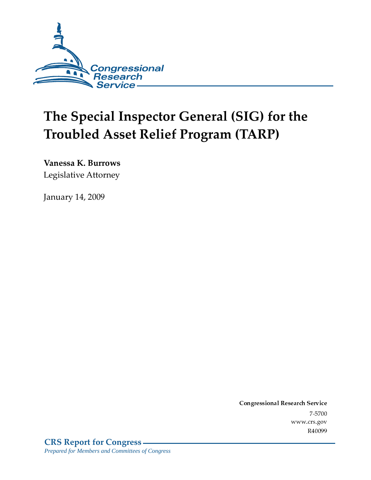

# The Special Inspector General (SIG) for the Troubled Asset Relief Program (TARP)

**Vanessa K. Burrows** 

Legislative Attorney

**January 14, 2009** 

Conglessional Research Service -7-5700 www.crs.gov R40099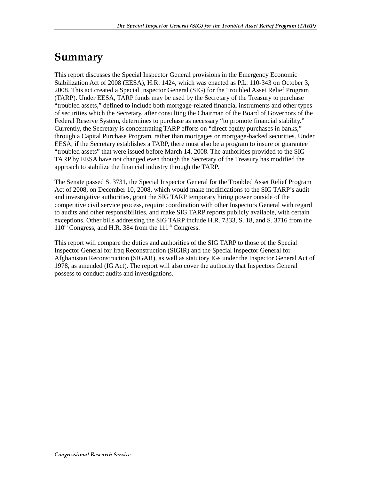### Summary

This report discusses the Special Inspector General provisions in the Emergency Economic Stabilization Act of 2008 (EESA), H.R. 1424, which was enacted as P.L. 110-343 on October 3, 2008. This act created a Special Inspector General (SIG) for the Troubled Asset Relief Program (TARP). Under EESA, TARP funds may be used by the Secretary of the Treasury to purchase "troubled assets," defined to include both mortgage-related financial instruments and other types of securities which the Secretary, after consulting the Chairman of the Board of Governors of the Federal Reserve System, determines to purchase as necessary "to promote financial stability." Currently, the Secretary is concentrating TARP efforts on "direct equity purchases in banks," through a Capital Purchase Program, rather than mortgages or mortgage-backed securities. Under EESA, if the Secretary establishes a TARP, there must also be a program to insure or guarantee "troubled assets" that were issued before March 14, 2008. The authorities provided to the SIG TARP by EESA have not changed even though the Secretary of the Treasury has modified the approach to stabilize the financial industry through the TARP.

The Senate passed S. 3731, the Special Inspector General for the Troubled Asset Relief Program Act of 2008, on December 10, 2008, which would make modifications to the SIG TARP's audit and investigative authorities, grant the SIG TARP temporary hiring power outside of the competitive civil service process, require coordination with other Inspectors General with regard to audits and other responsibilities, and make SIG TARP reports publicly available, with certain exceptions. Other bills addressing the SIG TARP include H.R. 7333, S. 18, and S. 3716 from the  $110^{th}$  Congress, and H.R. 384 from the  $111^{th}$  Congress.

This report will compare the duties and authorities of the SIG TARP to those of the Special Inspector General for Iraq Reconstruction (SIGIR) and the Special Inspector General for Afghanistan Reconstruction (SIGAR), as well as statutory IGs under the Inspector General Act of 1978, as amended (IG Act). The report will also cover the authority that Inspectors General possess to conduct audits and investigations.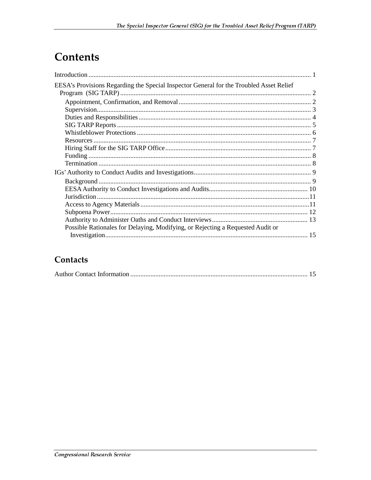### **Contents**

| EESA's Provisions Regarding the Special Inspector General for the Troubled Asset Relief |  |
|-----------------------------------------------------------------------------------------|--|
|                                                                                         |  |
|                                                                                         |  |
|                                                                                         |  |
|                                                                                         |  |
|                                                                                         |  |
|                                                                                         |  |
|                                                                                         |  |
|                                                                                         |  |
|                                                                                         |  |
|                                                                                         |  |
|                                                                                         |  |
|                                                                                         |  |
|                                                                                         |  |
|                                                                                         |  |
|                                                                                         |  |
|                                                                                         |  |
|                                                                                         |  |
| Possible Rationales for Delaying, Modifying, or Rejecting a Requested Audit or          |  |
|                                                                                         |  |

#### Contacts

|--|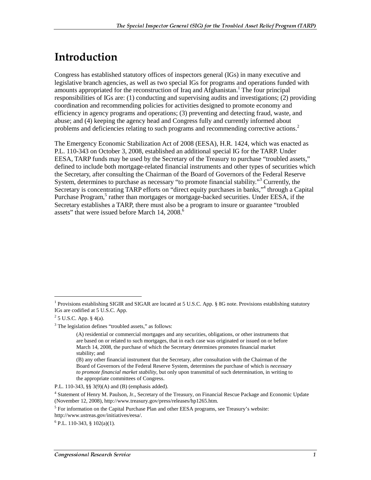### <u>Introduction</u>

Congress has established statutory offices of inspectors general (IGs) in many executive and legislative branch agencies, as well as two special IGs for programs and operations funded with amounts appropriated for the reconstruction of Iraq and Afghanistan.<sup>1</sup> The four principal responsibilities of IGs are: (1) conducting and supervising audits and investigations; (2) providing coordination and recommending policies for activities designed to promote economy and efficiency in agency programs and operations; (3) preventing and detecting fraud, waste, and abuse; and (4) keeping the agency head and Congress fully and currently informed about problems and deficiencies relating to such programs and recommending corrective actions.<sup>2</sup>

The Emergency Economic Stabilization Act of 2008 (EESA), H.R. 1424, which was enacted as P.L. 110-343 on October 3, 2008, established an additional special IG for the TARP. Under EESA, TARP funds may be used by the Secretary of the Treasury to purchase "troubled assets," defined to include both mortgage-related financial instruments and other types of securities which the Secretary, after consulting the Chairman of the Board of Governors of the Federal Reserve System, determines to purchase as necessary "to promote financial stability."<sup>3</sup> Currently, the Secretary is concentrating TARP efforts on "direct equity purchases in banks,"<sup>4</sup> through a Capital Purchase Program,<sup>5</sup> rather than mortgages or mortgage-backed securities. Under EESA, if the Secretary establishes a TARP, there must also be a program to insure or guarantee "troubled assets" that were issued before March  $14, 2008$ .<sup>6</sup>

<sup>&</sup>lt;sup>1</sup> Provisions establishing SIGIR and SIGAR are located at 5 U.S.C. App. § 8G note. Provisions establishing statutory IGs are codified at 5 U.S.C. App.

 $2^2$  5 U.S.C. App. § 4(a).

<sup>&</sup>lt;sup>3</sup> The legislation defines "troubled assets," as follows:

<sup>(</sup>A) residential or commercial mortgages and any securities, obligations, or other instruments that are based on or related to such mortgages, that in each case was originated or issued on or before March 14, 2008, the purchase of which the Secretary determines promotes financial market stability; and

<sup>(</sup>B) any other financial instrument that the Secretary, after consultation with the Chairman of the Board of Governors of the Federal Reserve System, determines the purchase of which is *necessary to promote financial market stability*, but only upon transmittal of such determination, in writing to the appropriate committees of Congress.

P.L. 110-343, §§ 3(9)(A) and (B) (emphasis added).

<sup>&</sup>lt;sup>4</sup> Statement of Henry M. Paulson, Jr., Secretary of the Treasury, on Financial Rescue Package and Economic Update (November 12, 2008), http://www.treasury.gov/press/releases/hp1265.htm.

<sup>&</sup>lt;sup>5</sup> For information on the Capital Purchase Plan and other EESA programs, see Treasury's website: http://www.ustreas.gov/initiatives/eesa/.

 $6$  P.L. 110-343, § 102(a)(1).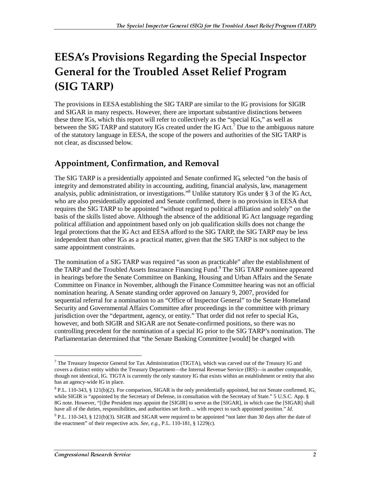## EESA's Provisions Regarding the Special Inspector **General for the Troubled Asset Relief Program** (SIG TARP)

The provisions in EESA establishing the SIG TARP are similar to the IG provisions for SIGIR and SIGAR in many respects. However, there are important substantive distinctions between these three IGs, which this report will refer to collectively as the "special IGs," as well as between the SIG TARP and statutory IGs created under the IG Act.<sup>7</sup> Due to the ambiguous nature of the statutory language in EESA, the scope of the powers and authorities of the SIG TARP is not clear, as discussed below.

#### Appointment, Confirmation, and Removal

The SIG TARP is a presidentially appointed and Senate confirmed IG, selected "on the basis of integrity and demonstrated ability in accounting, auditing, financial analysis, law, management analysis, public administration, or investigations."8 Unlike statutory IGs under § 3 of the IG Act, who are also presidentially appointed and Senate confirmed, there is no provision in EESA that requires the SIG TARP to be appointed "without regard to political affiliation and solely" on the basis of the skills listed above. Although the absence of the additional IG Act language regarding political affiliation and appointment based only on job qualification skills does not change the legal protections that the IG Act and EESA afford to the SIG TARP, the SIG TARP may be less independent than other IGs as a practical matter, given that the SIG TARP is not subject to the same appointment constraints.

The nomination of a SIG TARP was required "as soon as practicable" after the establishment of the TARP and the Troubled Assets Insurance Financing Fund.<sup>9</sup> The SIG TARP nominee appeared in hearings before the Senate Committee on Banking, Housing and Urban Affairs and the Senate Committee on Finance in November, although the Finance Committee hearing was not an official nomination hearing. A Senate standing order approved on January 9, 2007, provided for sequential referral for a nomination to an "Office of Inspector General" to the Senate Homeland Security and Governmental Affairs Committee after proceedings in the committee with primary jurisdiction over the "department, agency, or entity." That order did not refer to special IGs, however, and both SIGIR and SIGAR are not Senate-confirmed positions, so there was no controlling precedent for the nomination of a special IG prior to the SIG TARP's nomination. The Parliamentarian determined that "the Senate Banking Committee [would] be charged with

<sup>&</sup>lt;sup>7</sup> The Treasury Inspector General for Tax Administration (TIGTA), which was carved out of the Treasury IG and covers a distinct entity within the Treasury Department—the Internal Revenue Service (IRS)—is another comparable, though not identical, IG. TIGTA is currently the only statutory IG that exists within an establishment or entity that also has an agency-wide IG in place.

 $8$  P.L. 110-343, § 121(b)(2). For comparison, SIGAR is the only presidentially appointed, but not Senate confirmed, IG, while SIGIR is "appointed by the Secretary of Defense, in consultation with the Secretary of State." 5 U.S.C. App. § 8G note. However, "[t]he President may appoint the [SIGIR] to serve as the [SIGAR], in which case the [SIGAR] shall have all of the duties, responsibilities, and authorities set forth ... with respect to such appointed position." *Id.* 

<sup>&</sup>lt;sup>9</sup> P.L. 110-343, § 121(b)(3). SIGIR and SIGAR were required to be appointed "not later than 30 days after the date of the enactment" of their respective acts. *See, e.g.*, P.L. 110-181, § 1229(c).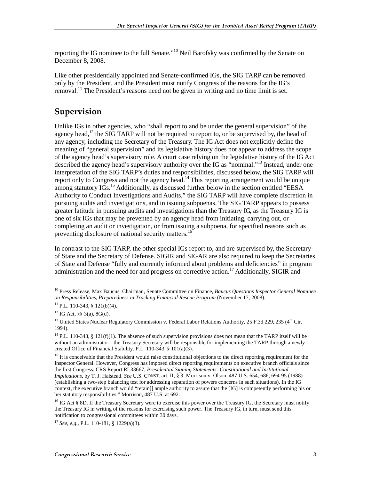reporting the IG nominee to the full Senate."<sup>10</sup> Neil Barofsky was confirmed by the Senate on December 8, 2008.

Like other presidentially appointed and Senate-confirmed IGs, the SIG TARP can be removed only by the President, and the President must notify Congress of the reasons for the IG's removal.<sup>11</sup> The President's reasons need not be given in writing and no time limit is set.

#### Supervision

Unlike IGs in other agencies, who "shall report to and be under the general supervision" of the agency head,<sup>12</sup> the SIG TARP will not be required to report to, or be supervised by, the head of any agency, including the Secretary of the Treasury. The IG Act does not explicitly define the meaning of "general supervision" and its legislative history does not appear to address the scope of the agency head's supervisory role. A court case relying on the legislative history of the IG Act described the agency head's supervisory authority over the IG as "nominal."<sup>13</sup> Instead, under one interpretation of the SIG TARP's duties and responsibilities, discussed below, the SIG TARP will report only to Congress and not the agency head.<sup>14</sup> This reporting arrangement would be unique among statutory IGs.<sup>15</sup> Additionally, as discussed further below in the section entitled "EESA Authority to Conduct Investigations and Audits," the SIG TARP will have complete discretion in pursuing audits and investigations, and in issuing subpoenas. The SIG TARP appears to possess greater latitude in pursuing audits and investigations than the Treasury IG, as the Treasury IG is one of six IGs that may be prevented by an agency head from initiating, carrying out, or completing an audit or investigation, or from issuing a subpoena, for specified reasons such as preventing disclosure of national security matters.<sup>16</sup>

In contrast to the SIG TARP, the other special IGs report to, and are supervised by, the Secretary of State and the Secretary of Defense. SIGIR and SIGAR are also required to keep the Secretaries of State and Defense "fully and currently informed about problems and deficiencies" in program administration and the need for and progress on corrective action.<sup>17</sup> Additionally, SIGIR and

<sup>10</sup> Press Release, Max Baucus, Chairman, Senate Committee on Finance, *Baucus Questions Inspector General Nominee on Responsibilities, Preparedness in Tracking Financial Rescue Program* (November 17, 2008).

<sup>11</sup> P.L. 110-343, § 121(b)(4).

 $12$  IG Act, §§ 3(a), 8G(d).

<sup>&</sup>lt;sup>13</sup> United States Nuclear Regulatory Commission v. Federal Labor Relations Authority, 25 F.3d 229, 235 (4<sup>th</sup> Cir. 1994).

<sup>&</sup>lt;sup>14</sup> P.L. 110-343, § 121(f)(1). The absence of such supervision provisions does not mean that the TARP itself will be without an administrator—the Treasury Secretary will be responsible for implementing the TARP through a newly created Office of Financial Stability. P.L. 110-343, § 101(a)(3).

 $15$  It is conceivable that the President would raise constitutional objections to the direct reporting requirement for the Inspector General. However, Congress has imposed direct reporting requirements on executive branch officials since the first Congress. CRS Report RL33667, *Presidential Signing Statements: Constitutional and Institutional Implications*, by T. J. Halstead. *See* U.S. CONST. art. II, § 3; Morrison v. Olson, 487 U.S. 654, 686, 694-95 (1988) (establishing a two-step balancing test for addressing separation of powers concerns in such situations). In the IG context, the executive branch would "retain[] ample authority to assure that the [IG] is competently performing his or her statutory responsibilities." Morrison, 487 U.S. at 692.

<sup>&</sup>lt;sup>16</sup> IG Act § 8D. If the Treasury Secretary were to exercise this power over the Treasury IG, the Secretary must notify the Treasury IG in writing of the reasons for exercising such power. The Treasury IG, in turn, must send this notification to congressional committees within 30 days.

<sup>17</sup> *See, e.g.*, P.L. 110-181, § 1229(a)(3).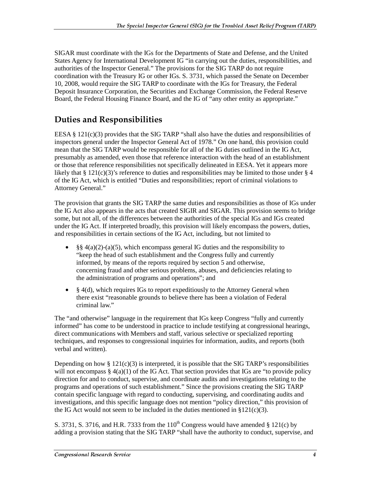SIGAR must coordinate with the IGs for the Departments of State and Defense, and the United States Agency for International Development IG "in carrying out the duties, responsibilities, and authorities of the Inspector General." The provisions for the SIG TARP do not require coordination with the Treasury IG or other IGs. S. 3731, which passed the Senate on December 10, 2008, would require the SIG TARP to coordinate with the IGs for Treasury, the Federal Deposit Insurance Corporation, the Securities and Exchange Commission, the Federal Reserve Board, the Federal Housing Finance Board, and the IG of "any other entity as appropriate."

#### **Duties and Responsibilities**

EESA  $\S$  121(c)(3) provides that the SIG TARP "shall also have the duties and responsibilities of inspectors general under the Inspector General Act of 1978." On one hand, this provision could mean that the SIG TARP would be responsible for all of the IG duties outlined in the IG Act, presumably as amended, even those that reference interaction with the head of an establishment or those that reference responsibilities not specifically delineated in EESA. Yet it appears more likely that § 121(c)(3)'s reference to duties and responsibilities may be limited to those under § 4 of the IG Act, which is entitled "Duties and responsibilities; report of criminal violations to Attorney General."

The provision that grants the SIG TARP the same duties and responsibilities as those of IGs under the IG Act also appears in the acts that created SIGIR and SIGAR. This provision seems to bridge some, but not all, of the differences between the authorities of the special IGs and IGs created under the IG Act. If interpreted broadly, this provision will likely encompass the powers, duties, and responsibilities in certain sections of the IG Act, including, but not limited to

- §§ 4(a)(2)-(a)(5), which encompass general IG duties and the responsibility to "keep the head of such establishment and the Congress fully and currently informed, by means of the reports required by section 5 and otherwise, concerning fraud and other serious problems, abuses, and deficiencies relating to the administration of programs and operations"; and
- $§$  4(d), which requires IGs to report expeditiously to the Attorney General when there exist "reasonable grounds to believe there has been a violation of Federal criminal law."

The "and otherwise" language in the requirement that IGs keep Congress "fully and currently informed" has come to be understood in practice to include testifying at congressional hearings, direct communications with Members and staff, various selective or specialized reporting techniques, and responses to congressional inquiries for information, audits, and reports (both verbal and written).

Depending on how  $\S 121(c)(3)$  is interpreted, it is possible that the SIG TARP's responsibilities will not encompass  $\S 4(a)(1)$  of the IG Act. That section provides that IGs are "to provide policy" direction for and to conduct, supervise, and coordinate audits and investigations relating to the programs and operations of such establishment." Since the provisions creating the SIG TARP contain specific language with regard to conducting, supervising, and coordinating audits and investigations, and this specific language does not mention "policy direction," this provision of the IG Act would not seem to be included in the duties mentioned in  $\S 121(c)(3)$ .

S. 3731, S. 3716, and H.R. 7333 from the  $110^{th}$  Congress would have amended § 121(c) by adding a provision stating that the SIG TARP "shall have the authority to conduct, supervise, and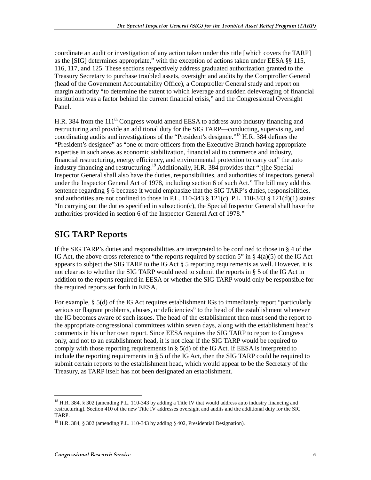coordinate an audit or investigation of any action taken under this title [which covers the TARP] as the [SIG] determines appropriate," with the exception of actions taken under EESA §§ 115, 116, 117, and 125. These sections respectively address graduated authorization granted to the Treasury Secretary to purchase troubled assets, oversight and audits by the Comptroller General (head of the Government Accountability Office), a Comptroller General study and report on margin authority "to determine the extent to which leverage and sudden deleveraging of financial institutions was a factor behind the current financial crisis," and the Congressional Oversight Panel.

H.R. 384 from the 111<sup>th</sup> Congress would amend EESA to address auto industry financing and restructuring and provide an additional duty for the SIG TARP—conducting, supervising, and coordinating audits and investigations of the "President's designee."18 H.R. 384 defines the "President's designee" as "one or more officers from the Executive Branch having appropriate expertise in such areas as economic stabilization, financial aid to commerce and industry, financial restructuring, energy efficiency, and environmental protection to carry out" the auto industry financing and restructuring.<sup>19</sup> Additionally, H.R. 384 provides that "[t]he Special Inspector General shall also have the duties, responsibilities, and authorities of inspectors general under the Inspector General Act of 1978, including section 6 of such Act." The bill may add this sentence regarding § 6 because it would emphasize that the SIG TARP's duties, responsibilities, and authorities are not confined to those in P.L. 110-343 § 121(c). P.L. 110-343 § 121(d)(1) states: "In carrying out the duties specified in subsection(c), the Special Inspector General shall have the authorities provided in section 6 of the Inspector General Act of 1978."

#### **SIG TARP Reports**

If the SIG TARP's duties and responsibilities are interpreted to be confined to those in § 4 of the IG Act, the above cross reference to "the reports required by section 5" in § 4(a)(5) of the IG Act appears to subject the SIG TARP to the IG Act § 5 reporting requirements as well. However, it is not clear as to whether the SIG TARP would need to submit the reports in  $\S 5$  of the IG Act in addition to the reports required in EESA or whether the SIG TARP would only be responsible for the required reports set forth in EESA.

For example, § 5(d) of the IG Act requires establishment IGs to immediately report "particularly serious or flagrant problems, abuses, or deficiencies" to the head of the establishment whenever the IG becomes aware of such issues. The head of the establishment then must send the report to the appropriate congressional committees within seven days, along with the establishment head's comments in his or her own report. Since EESA requires the SIG TARP to report to Congress only, and not to an establishment head, it is not clear if the SIG TARP would be required to comply with those reporting requirements in  $\S$  5(d) of the IG Act. If EESA is interpreted to include the reporting requirements in § 5 of the IG Act, then the SIG TARP could be required to submit certain reports to the establishment head, which would appear to be the Secretary of the Treasury, as TARP itself has not been designated an establishment.

<sup>&</sup>lt;sup>18</sup> H.R. 384, § 302 (amending P.L. 110-343 by adding a Title IV that would address auto industry financing and restructuring). Section 410 of the new Title IV addresses oversight and audits and the additional duty for the SIG TARP.

<sup>&</sup>lt;sup>19</sup> H.R. 384, § 302 (amending P.L. 110-343 by adding § 402, Presidential Designation).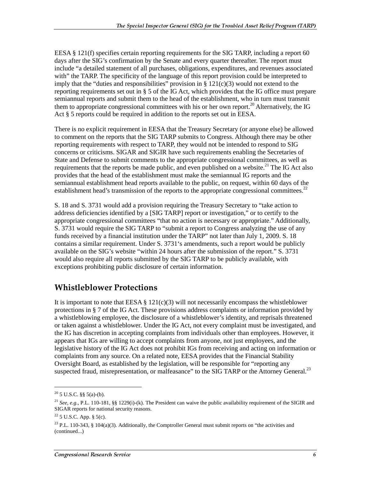EESA  $\S$  121(f) specifies certain reporting requirements for the SIG TARP, including a report 60 days after the SIG's confirmation by the Senate and every quarter thereafter. The report must include "a detailed statement of all purchases, obligations, expenditures, and revenues associated with" the TARP. The specificity of the language of this report provision could be interpreted to imply that the "duties and responsibilities" provision in  $\S 121(c)(3)$  would not extend to the reporting requirements set out in § 5 of the IG Act, which provides that the IG office must prepare semiannual reports and submit them to the head of the establishment, who in turn must transmit them to appropriate congressional committees with his or her own report.<sup>20</sup> Alternatively, the IG Act § 5 reports could be required in addition to the reports set out in EESA.

There is no explicit requirement in EESA that the Treasury Secretary (or anyone else) be allowed to comment on the reports that the SIG TARP submits to Congress. Although there may be other reporting requirements with respect to TARP, they would not be intended to respond to SIG concerns or criticisms. SIGAR and SIGIR have such requirements enabling the Secretaries of State and Defense to submit comments to the appropriate congressional committees, as well as requirements that the reports be made public, and even published on a website.<sup>21</sup> The IG Act also provides that the head of the establishment must make the semiannual IG reports and the semiannual establishment head reports available to the public, on request, within 60 days of the establishment head's transmission of the reports to the appropriate congressional committees.<sup>22</sup>

S. 18 and S. 3731 would add a provision requiring the Treasury Secretary to "take action to address deficiencies identified by a [SIG TARP] report or investigation," or to certify to the appropriate congressional committees "that no action is necessary or appropriate." Additionally, S. 3731 would require the SIG TARP to "submit a report to Congress analyzing the use of any funds received by a financial institution under the TARP" not later than July 1, 2009. S. 18 contains a similar requirement. Under S. 3731's amendments, such a report would be publicly available on the SIG's website "within 24 hours after the submission of the report." S. 3731 would also require all reports submitted by the SIG TARP to be publicly available, with exceptions prohibiting public disclosure of certain information.

#### **Whistleblower Protections**

It is important to note that EESA  $\S 121(c)(3)$  will not necessarily encompass the whistleblower protections in § 7 of the IG Act. These provisions address complaints or information provided by a whistleblowing employee, the disclosure of a whistleblower's identity, and reprisals threatened or taken against a whistleblower. Under the IG Act, not every complaint must be investigated, and the IG has discretion in accepting complaints from individuals other than employees. However, it appears that IGs are willing to accept complaints from anyone, not just employees, and the legislative history of the IG Act does not prohibit IGs from receiving and acting on information or complaints from any source. On a related note, EESA provides that the Financial Stability Oversight Board, as established by the legislation, will be responsible for "reporting any suspected fraud, misrepresentation, or malfeasance" to the SIG TARP or the Attorney General.<sup>23</sup>

 $20\,$  5 U.S.C. §§ 5(a)-(b).

<sup>&</sup>lt;sup>21</sup> *See, e.g.*, P.L. 110-181, §§ 1229(i)-(k). The President can waive the public availability requirement of the SIGIR and SIGAR reports for national security reasons.

 $22$  5 U.S.C. App. § 5(c).

<sup>&</sup>lt;sup>23</sup> P.L. 110-343, § 104(a)(3). Additionally, the Comptroller General must submit reports on "the activities and (continued...)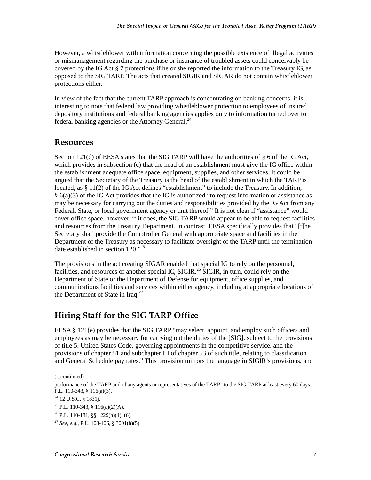However, a whistleblower with information concerning the possible existence of illegal activities or mismanagement regarding the purchase or insurance of troubled assets could conceivably be covered by the IG Act § 7 protections if he or she reported the information to the Treasury IG, as opposed to the SIG TARP. The acts that created SIGIR and SIGAR do not contain whistleblower protections either.

In view of the fact that the current TARP approach is concentrating on banking concerns, it is interesting to note that federal law providing whistleblower protection to employees of insured depository institutions and federal banking agencies applies only to information turned over to federal banking agencies or the Attorney General.<sup>24</sup>

#### **Resources**

Section 121(d) of EESA states that the SIG TARP will have the authorities of § 6 of the IG Act, which provides in subsection (c) that the head of an establishment must give the IG office within the establishment adequate office space, equipment, supplies, and other services. It could be argued that the Secretary of the Treasury is the head of the establishment in which the TARP is located, as § 11(2) of the IG Act defines "establishment" to include the Treasury. In addition,  $§$  6(a)(3) of the IG Act provides that the IG is authorized "to request information or assistance as may be necessary for carrying out the duties and responsibilities provided by the IG Act from any Federal, State, or local government agency or unit thereof." It is not clear if "assistance" would cover office space, however, if it does, the SIG TARP would appear to be able to request facilities and resources from the Treasury Department. In contrast, EESA specifically provides that "[t]he Secretary shall provide the Comptroller General with appropriate space and facilities in the Department of the Treasury as necessary to facilitate oversight of the TARP until the termination date established in section 120."<sup>25</sup>

The provisions in the act creating SIGAR enabled that special IG to rely on the personnel, facilities, and resources of another special IG,  $SIGIR<sup>26</sup> SIGIR$ , in turn, could rely on the Department of State or the Department of Defense for equipment, office supplies, and communications facilities and services within either agency, including at appropriate locations of the Department of State in Iraq. $27$ 

#### Hiring Staff for the SIG TARP Office

EESA § 121(e) provides that the SIG TARP "may select, appoint, and employ such officers and employees as may be necessary for carrying out the duties of the [SIG], subject to the provisions of title 5, United States Code, governing appointments in the competitive service, and the provisions of chapter 51 and subchapter III of chapter 53 of such title, relating to classification and General Schedule pay rates." This provision mirrors the language in SIGIR's provisions, and

<sup>(...</sup>continued)

performance of the TARP and of any agents or representatives of the TARP" to the SIG TARP at least every 60 days. P.L. 110-343, § 116(a)(3).

 $^{24}$  12 U.S.C. § 1831j.

<sup>&</sup>lt;sup>25</sup> P.L. 110-343, § 116(a)(2)(A).

 $^{26}$  P.L. 110-181, §§ 1229(h)(4), (6).

<sup>&</sup>lt;sup>27</sup> *See, e.g.*, P.L. 108-106, § 3001(h)(5).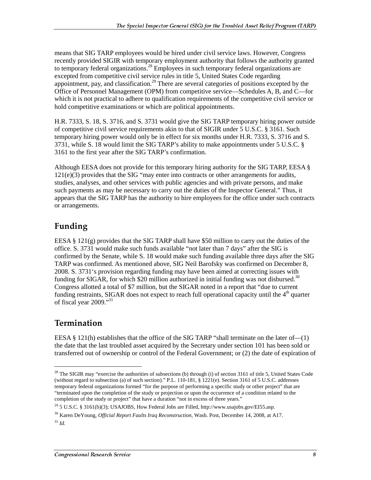means that SIG TARP employees would be hired under civil service laws. However, Congress recently provided SIGIR with temporary employment authority that follows the authority granted to temporary federal organizations.<sup>28</sup> Employees in such temporary federal organizations are excepted from competitive civil service rules in title 5, United States Code regarding appointment, pay, and classification.<sup>29</sup> There are several categories of positions excepted by the Office of Personnel Management (OPM) from competitive service—Schedules A, B, and C—for which it is not practical to adhere to qualification requirements of the competitive civil service or hold competitive examinations or which are political appointments.

H.R. 7333, S. 18, S. 3716, and S. 3731 would give the SIG TARP temporary hiring power outside of competitive civil service requirements akin to that of SIGIR under 5 U.S.C. § 3161. Such temporary hiring power would only be in effect for six months under H.R. 7333, S. 3716 and S. 3731, while S. 18 would limit the SIG TARP's ability to make appointments under 5 U.S.C. § 3161 to the first year after the SIG TARP's confirmation.

Although EESA does not provide for this temporary hiring authority for the SIG TARP, EESA § 121(e)(3) provides that the SIG "may enter into contracts or other arrangements for audits, studies, analyses, and other services with public agencies and with private persons, and make such payments as may be necessary to carry out the duties of the Inspector General." Thus, it appears that the SIG TARP has the authority to hire employees for the office under such contracts or arrangements.

#### Funding

EESA  $\S 121(g)$  provides that the SIG TARP shall have \$50 million to carry out the duties of the office. S. 3731 would make such funds available "not later than 7 days" after the SIG is confirmed by the Senate, while S. 18 would make such funding available three days after the SIG TARP was confirmed. As mentioned above, SIG Neil Barofsky was confirmed on December 8, 2008. S. 3731's provision regarding funding may have been aimed at correcting issues with funding for SIGAR, for which \$20 million authorized in initial funding was not disbursed.<sup>30</sup> Congress allotted a total of \$7 million, but the SIGAR noted in a report that "due to current funding restraints, SIGAR does not expect to reach full operational capacity until the  $4<sup>th</sup>$  quarter of fiscal year 2009."<sup>31</sup>

### **Termination**

EESA § 121(h) establishes that the office of the SIG TARP "shall terminate on the later of—(1) the date that the last troubled asset acquired by the Secretary under section 101 has been sold or transferred out of ownership or control of the Federal Government; or (2) the date of expiration of

 $28$  The SIGIR may "exercise the authorities of subsections (b) through (i) of section 3161 of title 5, United States Code (without regard to subsection (a) of such section)." P.L. 110-181, § 1221(e). Section 3161 of 5 U.S.C. addresses temporary federal organizations formed "for the purpose of performing a specific study or other project" that are "terminated upon the completion of the study or projection or upon the occurrence of a condition related to the completion of the study or project" that have a duration "not in excess of three years."

<sup>&</sup>lt;sup>29</sup> 5 U.S.C. § 3161(b)(3); USAJOBS, How Federal Jobs are Filled, http://www.usajobs.gov/EI55.asp.

<sup>30</sup> Karen DeYoung, *Official Report Faults Iraq Reconstruction*, Wash. Post, December 14, 2008, at A17.

 $31$  *Id.*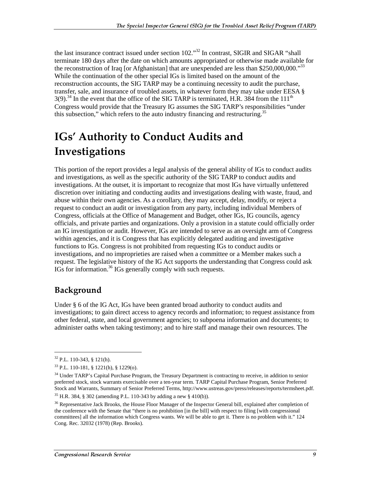the last insurance contract issued under section 102."<sup>32</sup> In contrast, SIGIR and SIGAR "shall terminate 180 days after the date on which amounts appropriated or otherwise made available for the reconstruction of Iraq [or Afghanistan] that are unexpended are less than \$250,000,000.<sup>333</sup> While the continuation of the other special IGs is limited based on the amount of the reconstruction accounts, the SIG TARP may be a continuing necessity to audit the purchase, transfer, sale, and insurance of troubled assets, in whatever form they may take under EESA § 3(9).<sup>34</sup> In the event that the office of the SIG TARP is terminated, H.R. 384 from the 111<sup>th</sup> Congress would provide that the Treasury IG assumes the SIG TARP's responsibilities "under this subsection," which refers to the auto industry financing and restructuring.<sup>35</sup>

## IGs' Authority to Conduct Audits and Investigations

This portion of the report provides a legal analysis of the general ability of IGs to conduct audits and investigations, as well as the specific authority of the SIG TARP to conduct audits and investigations. At the outset, it is important to recognize that most IGs have virtually unfettered discretion over initiating and conducting audits and investigations dealing with waste, fraud, and abuse within their own agencies. As a corollary, they may accept, delay, modify, or reject a request to conduct an audit or investigation from any party, including individual Members of Congress, officials at the Office of Management and Budget, other IGs, IG councils, agency officials, and private parties and organizations. Only a provision in a statute could officially order an IG investigation or audit. However, IGs are intended to serve as an oversight arm of Congress within agencies, and it is Congress that has explicitly delegated auditing and investigative functions to IGs. Congress is not prohibited from requesting IGs to conduct audits or investigations, and no improprieties are raised when a committee or a Member makes such a request. The legislative history of the IG Act supports the understanding that Congress could ask IGs for information.36 IGs generally comply with such requests.

#### Background

Under § 6 of the IG Act, IGs have been granted broad authority to conduct audits and investigations; to gain direct access to agency records and information; to request assistance from other federal, state, and local government agencies; to subpoena information and documents; to administer oaths when taking testimony; and to hire staff and manage their own resources. The

 $32$  P.L. 110-343, § 121(h).

<sup>33</sup> P.L. 110-181, § 1221(h), § 1229(o).

<sup>&</sup>lt;sup>34</sup> Under TARP's Capital Purchase Program, the Treasury Department is contracting to receive, in addition to senior preferred stock, stock warrants exercisable over a ten-year term. TARP Capital Purchase Program, Senior Preferred Stock and Warrants, Summary of Senior Preferred Terms, http://www.ustreas.gov/press/releases/reports/termsheet.pdf.

 $35$  H.R. 384, § 302 (amending P.L. 110-343 by adding a new § 410(b)).

<sup>&</sup>lt;sup>36</sup> Representative Jack Brooks, the House Floor Manager of the Inspector General bill, explained after completion of the conference with the Senate that "there is no prohibition [in the bill] with respect to filing [with congressional committees] all the information which Congress wants. We will be able to get it. There is no problem with it." 124 Cong. Rec. 32032 (1978) (Rep. Brooks).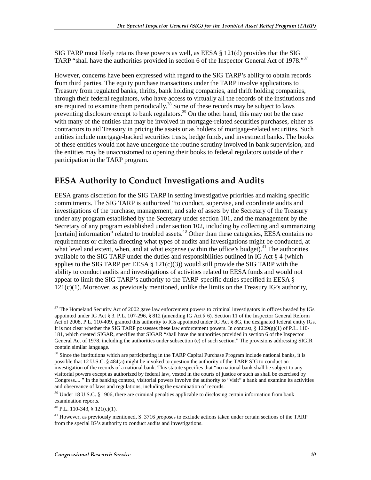SIG TARP most likely retains these powers as well, as EESA § 121(d) provides that the SIG TARP "shall have the authorities provided in section 6 of the Inspector General Act of 1978."37

However, concerns have been expressed with regard to the SIG TARP's ability to obtain records from third parties. The equity purchase transactions under the TARP involve applications to Treasury from regulated banks, thrifts, bank holding companies, and thrift holding companies, through their federal regulators, who have access to virtually all the records of the institutions and are required to examine them periodically.<sup>38</sup> Some of these records may be subject to laws preventing disclosure except to bank regulators.<sup>39</sup> On the other hand, this may not be the case with many of the entities that may be involved in mortgage-related securities purchases, either as contractors to aid Treasury in pricing the assets or as holders of mortgage-related securities. Such entities include mortgage-backed securities trusts, hedge funds, and investment banks. The books of these entities would not have undergone the routine scrutiny involved in bank supervision, and the entities may be unaccustomed to opening their books to federal regulators outside of their participation in the TARP program.

#### EESA Authority to Conduct Investigations and Audits

EESA grants discretion for the SIG TARP in setting investigative priorities and making specific commitments. The SIG TARP is authorized "to conduct, supervise, and coordinate audits and investigations of the purchase, management, and sale of assets by the Secretary of the Treasury under any program established by the Secretary under section 101, and the management by the Secretary of any program established under section 102, including by collecting and summarizing [certain] information" related to troubled assets.<sup>40</sup> Other than these categories, EESA contains no requirements or criteria directing what types of audits and investigations might be conducted, at what level and extent, when, and at what expense (within the office's budget). $41$  The authorities available to the SIG TARP under the duties and responsibilities outlined in IG Act § 4 (which applies to the SIG TARP per EESA  $\S$  121(c)(3)) would still provide the SIG TARP with the ability to conduct audits and investigations of activities related to EESA funds and would not appear to limit the SIG TARP's authority to the TARP-specific duties specified in EESA §  $121(c)(1)$ . Moreover, as previously mentioned, unlike the limits on the Treasury IG's authority,

<sup>&</sup>lt;sup>37</sup> The Homeland Security Act of 2002 gave law enforcement powers to criminal investigators in offices headed by IGs appointed under IG Act § 3. P.L. 107-296, § 812 (amending IG Act § 6). Section 11 of the Inspector General Reform Act of 2008, P.L. 110-409, granted this authority to IGs appointed under IG Act § 8G, the designated federal entity IGs. It is not clear whether the SIG TARP possesses these law enforcement powers. In contrast,  $\S 1229(g)(1)$  of P.L. 110-181, which created SIGAR, specifies that SIGAR "shall have the authorities provided in section 6 of the Inspector General Act of 1978, including the authorities under subsection (e) of such section." The provisions addressing SIGIR contain similar language.

<sup>&</sup>lt;sup>38</sup> Since the institutions which are participating in the TARP Capital Purchase Program include national banks, it is possible that 12 U.S.C. § 484(a) might be invoked to question the authority of the TARP SIG to conduct an investigation of the records of a national bank. This statute specifies that "no national bank shall be subject to any visitorial powers except as authorized by federal law, vested in the courts of justice or such as shall be exercised by Congress.... " In the banking context, visitorial powers involve the authority to "visit" a bank and examine its activities and observance of laws and regulations, including the examination of records.

<sup>&</sup>lt;sup>39</sup> Under 18 U.S.C. § 1906, there are criminal penalties applicable to disclosing certain information from bank examination reports.

<sup>40</sup> P.L. 110-343, § 121(c)(1).

 $^{41}$  However, as previously mentioned, S. 3716 proposes to exclude actions taken under certain sections of the TARP from the special IG's authority to conduct audits and investigations.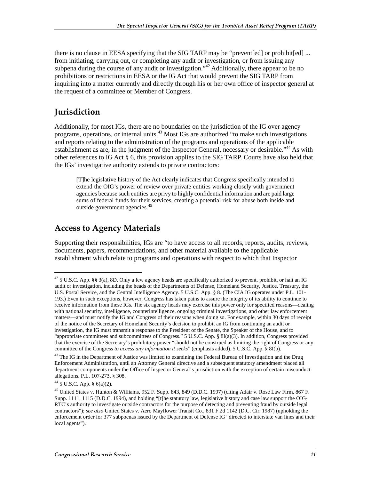there is no clause in EESA specifying that the SIG TARP may be "prevent [ed] or prohibit [ed] ... from initiating, carrying out, or completing any audit or investigation, or from issuing any subpena during the course of any audit or investigation."<sup>42</sup> Additionally, there appear to be no prohibitions or restrictions in EESA or the IG Act that would prevent the SIG TARP from inquiring into a matter currently and directly through his or her own office of inspector general at the request of a committee or Member of Congress.

#### Jurisdiction

Additionally, for most IGs, there are no boundaries on the jurisdiction of the IG over agency programs, operations, or internal units.<sup>43</sup> Most IGs are authorized "to make such investigations and reports relating to the administration of the programs and operations of the applicable establishment as are, in the judgment of the Inspector General, necessary or desirable."<sup>44</sup> As with other references to IG Act § 6, this provision applies to the SIG TARP. Courts have also held that the IGs' investigative authority extends to private contractors:

[T]he legislative history of the Act clearly indicates that Congress specifically intended to extend the OIG's power of review over private entities working closely with government agencies because such entities are privy to highly confidential information and are paid large sums of federal funds for their services, creating a potential risk for abuse both inside and outside government agencies.<sup>45</sup>

#### **Access to Agency Materials**

Supporting their responsibilities, IGs are "to have access to all records, reports, audits, reviews, documents, papers, recommendations, and other material available to the applicable establishment which relate to programs and operations with respect to which that Inspector

 $42$  5 U.S.C. App. §§ 3(a), 8D. Only a few agency heads are specifically authorized to prevent, prohibit, or halt an IG audit or investigation, including the heads of the Departments of Defense, Homeland Security, Justice, Treasury, the U.S. Postal Service, and the Central Intelligence Agency. 5 U.S.C. App. § 8. (The CIA IG operates under P.L. 101- 193.) Even in such exceptions, however, Congress has taken pains to assure the integrity of its ability to continue to receive information from these IGs. The six agency heads may exercise this power only for specified reasons—dealing with national security, intelligence, counterintelligence, ongoing criminal investigations, and other law enforcement matters—and must notify the IG and Congress of their reasons when doing so. For example, within 30 days of receipt of the notice of the Secretary of Homeland Security's decision to prohibit an IG from continuing an audit or investigation, the IG must transmit a response to the President of the Senate, the Speaker of the House, and to "appropriate committees and subcommittees of Congress." 5 U.S.C. App. § 8I(a)(3). In addition, Congress provided that the exercise of the Secretary's prohibitory power "should not be construed as limiting the right of Congress or any committee of the Congress *to access any information it seeks*" (emphasis added). 5 U.S.C. App. § 8I(b).

 $43$  The IG in the Department of Justice was limited to examining the Federal Bureau of Investigation and the Drug Enforcement Administration, until an Attorney General directive and a subsequent statutory amendment placed all department components under the Office of Inspector General's jurisdiction with the exception of certain misconduct allegations. P.L. 107-273, § 308.

 $44$  5 U.S.C. App. § 6(a)(2).

<sup>45</sup> United States v. Hunton & Williams, 952 F. Supp. 843, 849 (D.D.C. 1997) (citing Adair v. Rose Law Firm, 867 F. Supp. 1111, 1115 (D.D.C. 1994), and holding "[t]he statutory law, legislative history and case law support the OIG-RTC's authority to investigate outside contractors for the purpose of detecting and preventing fraud by outside legal contractors"); *see also* United States v. Aero Mayflower Transit Co., 831 F.2d 1142 (D.C. Cir. 1987) (upholding the enforcement order for 377 subpoenas issued by the Department of Defense IG "directed to interstate van lines and their local agents").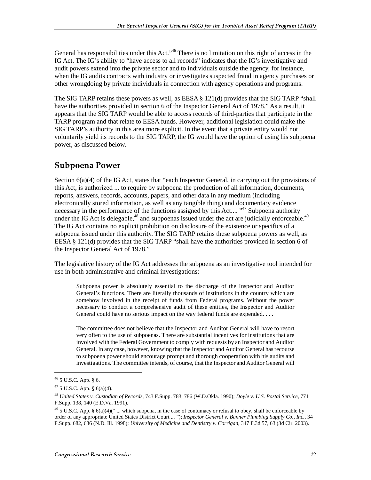General has responsibilities under this Act."<sup>46</sup> There is no limitation on this right of access in the IG Act. The IG's ability to "have access to all records" indicates that the IG's investigative and audit powers extend into the private sector and to individuals outside the agency, for instance, when the IG audits contracts with industry or investigates suspected fraud in agency purchases or other wrongdoing by private individuals in connection with agency operations and programs.

The SIG TARP retains these powers as well, as EESA § 121(d) provides that the SIG TARP "shall have the authorities provided in section 6 of the Inspector General Act of 1978." As a result, it appears that the SIG TARP would be able to access records of third-parties that participate in the TARP program and that relate to EESA funds. However, additional legislation could make the SIG TARP's authority in this area more explicit. In the event that a private entity would not voluntarily yield its records to the SIG TARP, the IG would have the option of using his subpoena power, as discussed below.

#### Subpoena Power

Section 6(a)(4) of the IG Act, states that "each Inspector General, in carrying out the provisions of this Act, is authorized ... to require by subpoena the production of all information, documents, reports, answers, records, accounts, papers, and other data in any medium (including electronically stored information, as well as any tangible thing) and documentary evidence necessary in the performance of the functions assigned by this Act....<sup>147</sup> Subpoena authority under the IG Act is delegable,  $48$  and subpoenas issued under the act are judicially enforceable.  $49$ The IG Act contains no explicit prohibition on disclosure of the existence or specifics of a subpoena issued under this authority. The SIG TARP retains these subpoena powers as well, as EESA  $\S$  121(d) provides that the SIG TARP "shall have the authorities provided in section 6 of the Inspector General Act of 1978."

The legislative history of the IG Act addresses the subpoena as an investigative tool intended for use in both administrative and criminal investigations:

Subpoena power is absolutely essential to the discharge of the Inspector and Auditor General's functions. There are literally thousands of institutions in the country which are somehow involved in the receipt of funds from Federal programs. Without the power necessary to conduct a comprehensive audit of these entities, the Inspector and Auditor General could have no serious impact on the way federal funds are expended. . . .

The committee does not believe that the Inspector and Auditor General will have to resort very often to the use of subpoenas. There are substantial incentives for institutions that are involved with the Federal Government to comply with requests by an Inspector and Auditor General. In any case, however, knowing that the Inspector and Auditor General has recourse to subpoena power should encourage prompt and thorough cooperation with his audits and investigations. The committee intends, of course, that the Inspector and Auditor General will

<sup>46 5</sup> U.S.C. App. § 6.

<sup>47 5</sup> U.S.C. App. § 6(a)(4).

<sup>48</sup> *United States v. Custodian of Records*, 743 F.Supp. 783, 786 (W.D.Okla. 1990); *Doyle v. U.S. Postal Service*, 771 F.Supp. 138, 140 (E.D.Va. 1991).

<sup>&</sup>lt;sup>49</sup> 5 U.S.C. App. §  $6(a)(4)$ (" ... which subpena, in the case of contumacy or refusal to obey, shall be enforceable by order of any appropriate United States District Court ... "); *Inspector General v. Banner Plumbing Supply Co., Inc.*, 34 F.Supp. 682, 686 (N.D. Ill. 1998); *University of Medicine and Dentistry v. Corrigan*, 347 F.3d 57, 63 (3d Cir. 2003).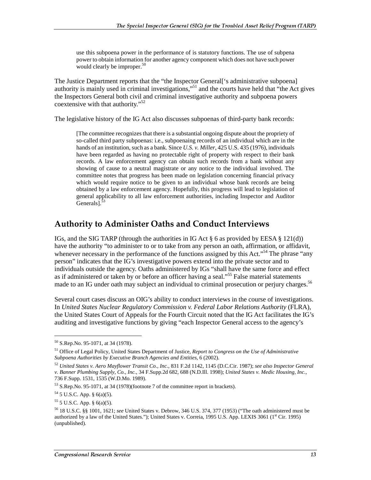use this subpoena power in the performance of is statutory functions. The use of subpena power to obtain information for another agency component which does not have such power would clearly be improper.<sup>50</sup>

The Justice Department reports that the "the Inspector General['s administrative subpoena] authority is mainly used in criminal investigations,<sup>551</sup> and the courts have held that "the Act gives" the Inspectors General both civil and criminal investigative authority and subpoena powers coextensive with that authority."<sup>52</sup>

The legislative history of the IG Act also discusses subpoenas of third-party bank records:

[The committee recognizes that there is a substantial ongoing dispute about the propriety of so-called third party subpoenas: i.e., subpoenaing records of an individual which are in the hands of an institution, such as a bank. Since *U.S. v. Miller*, 425 U.S. 435 (1976), individuals have been regarded as having no protectable right of property with respect to their bank records. A law enforcement agency can obtain such records from a bank without any showing of cause to a neutral magistrate or any notice to the individual involved. The committee notes that progress has been made on legislation concerning financial privacy which would require notice to be given to an individual whose bank records are being obtained by a law enforcement agency. Hopefully, this progress will lead to legislation of general applicability to all law enforcement authorities, including Inspector and Auditor Generals].<sup>53</sup>

#### Authority to Administer Oaths and Conduct Interviews

IGs, and the SIG TARP (through the authorities in IG Act  $\S 6$  as provided by EESA  $\S 121(d)$ ) have the authority "to administer to or to take from any person an oath, affirmation, or affidavit, whenever necessary in the performance of the functions assigned by this Act.<sup> $54$ </sup> The phrase "any person" indicates that the IG's investigative powers extend into the private sector and to individuals outside the agency. Oaths administered by IGs "shall have the same force and effect as if administered or taken by or before an officer having a seal."<sup>55</sup> False material statements made to an IG under oath may subject an individual to criminal prosecution or perjury charges.<sup>56</sup>

Several court cases discuss an OIG's ability to conduct interviews in the course of investigations. In *United States Nuclear Regulatory Commission v. Federal Labor Relations Authority* (FLRA), the United States Court of Appeals for the Fourth Circuit noted that the IG Act facilitates the IG's auditing and investigative functions by giving "each Inspector General access to the agency's

<sup>50</sup> S.Rep.No. 95-1071, at 34 (1978).

<sup>51</sup> Office of Legal Policy, United States Department of Justice, *Report to Congress on the Use of Administrative Subpoena Authorities by Executive Branch Agencies and Entities*, 6 (2002).

<sup>52</sup> *United States v. Aero Mayflower Transit Co., Inc.*, 831 F.2d 1142, 1145 (D.C.Cir. 1987); *see also Inspector General v. Banner Plumbing Supply, Co., Inc.*, 34 F.Supp.2d 682, 688 (N.D.Ill. 1998); *United States v. Medic Housing, Inc.*, 736 F.Supp. 1531, 1535 (W.D.Mo. 1989).

<sup>53</sup> S.Rep.No. 95-1071, at 34 (1978)(footnote 7 of the committee report in brackets).

 $54$  5 U.S.C. App. § 6(a)(5).

 $55$  5 U.S.C. App. § 6(a)(5).

<sup>56 18</sup> U.S.C. §§ 1001, 1621; *see* United States v. Debrow, 346 U.S. 374, 377 (1953) ("The oath administered must be authorized by a law of the United States."); United States v. Correia, 1995 U.S. App. LEXIS 3061 (1<sup>st</sup> Cir. 1995) (unpublished).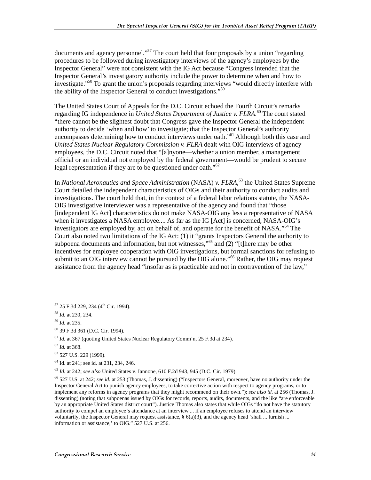documents and agency personnel."<sup>57</sup> The court held that four proposals by a union "regarding" procedures to be followed during investigatory interviews of the agency's employees by the Inspector General" were not consistent with the IG Act because "Congress intended that the Inspector General's investigatory authority include the power to determine when and how to investigate."58 To grant the union's proposals regarding interviews "would directly interfere with the ability of the Inspector General to conduct investigations."59

The United States Court of Appeals for the D.C. Circuit echoed the Fourth Circuit's remarks regarding IG independence in *United States Department of Justice v. FLRA*. 60 The court stated "there cannot be the slightest doubt that Congress gave the Inspector General the independent authority to decide 'when and how' to investigate; that the Inspector General's authority encompasses determining how to conduct interviews under oath."<sup>61</sup> Although both this case and *United States Nuclear Regulatory Commission v. FLRA* dealt with OIG interviews of agency employees, the D.C. Circuit noted that "[a]nyone—whether a union member, a management official or an individual not employed by the federal government—would be prudent to secure legal representation if they are to be questioned under oath.<sup>562</sup>

In *National Aeronautics and Space Administration* (NASA) *v. FLRA*, 63 the United States Supreme Court detailed the independent characteristics of OIGs and their authority to conduct audits and investigations. The court held that, in the context of a federal labor relations statute, the NASA-OIG investigative interviewer was a representative of the agency and found that "those [independent IG Act] characteristics do not make NASA-OIG any less a representative of NASA when it investigates a NASA employee.... As far as the IG [Act] is concerned, NASA-OIG's investigators are employed by, act on behalf of, and operate for the benefit of NASA."64 The Court also noted two limitations of the IG Act: (1) it "grants Inspectors General the authority to subpoena documents and information, but not witnesses,"<sup>65</sup> and  $(2)$  "[t]here may be other incentives for employee cooperation with OIG investigations, but formal sanctions for refusing to submit to an OIG interview cannot be pursued by the OIG alone."<sup>66</sup> Rather, the OIG may request assistance from the agency head "insofar as is practicable and not in contravention of the law,"

 $\overline{a}$ 

<sup>57 25</sup> F.3d 229, 234 (4<sup>th</sup> Cir. 1994).

<sup>58</sup> *Id.* at 230, 234.

<sup>59</sup> *Id.* at 235.

<sup>60 39</sup> F.3d 361 (D.C. Cir. 1994).

<sup>61</sup> *Id.* at 367 (quoting United States Nuclear Regulatory Comm'n, 25 F.3d at 234).

<sup>62</sup> *Id.* at 368.

<sup>63 527</sup> U.S. 229 (1999).

<sup>64</sup> Id. at 241; see id. at 231, 234, 246.

<sup>65</sup> *Id.* at 242; *see also* United States v. Iannone, 610 F.2d 943, 945 (D.C. Cir. 1979).

<sup>66 527</sup> U.S. at 242; *see id.* at 253 (Thomas, J. dissenting) ("Inspectors General, moreover, have no authority under the Inspector General Act to punish agency employees, to take corrective action with respect to agency programs, or to implement any reforms in agency programs that they might recommend on their own."); *see also id.* at 256 (Thomas, J. dissenting) (noting that subpoenas issued by OIGs for records, reports, audits, documents, and the like "are enforceable by an appropriate United States district court"). Justice Thomas also states that while OIGs "do not have the statutory authority to compel an employee's attendance at an interview ... if an employee refuses to attend an interview voluntarily, the Inspector General may request assistance,  $\S$  6(a)(3), and the agency head 'shall ... furnish ... information or assistance,' to OIG." 527 U.S. at 256.